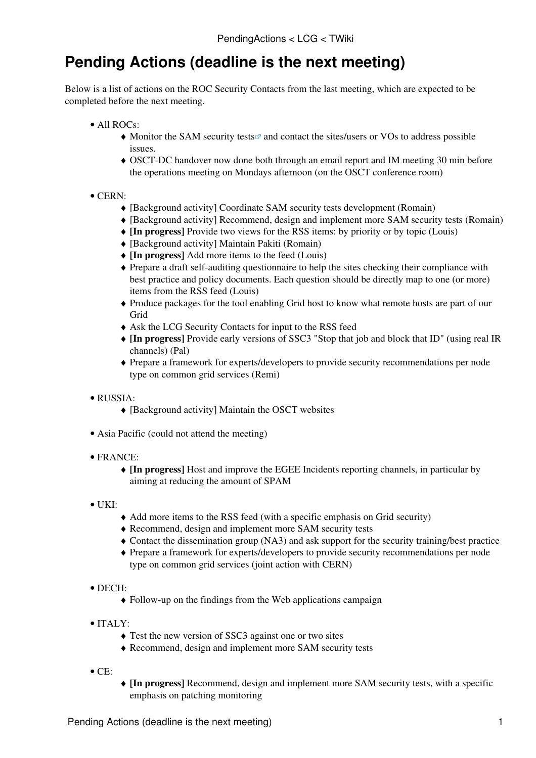## **Pending Actions (deadline is the next meeting)**

Below is a list of actions on the ROC Security Contacts from the last meeting, which are expected to be completed before the next meeting.

- All ROCs:
	- Monitor the [SAM security tests](https://lcg-sam.cern.ch:8443/sam/sam.py?CE_ops_disp_tests=CE-wn-sec-crl&CE_ops_disp_tests=CE-wn-sec-fp&funct=ShowSensorTests) and contact the sites/users or VOs to address possible issues.
	- OSCT-DC handover now done both through an email report and IM meeting 30 min before ♦ the operations meeting on Mondays afternoon (on the OSCT conference room)

## • CERN:

- ♦ [Background activity] Coordinate SAM security tests development (Romain)
- ♦ [Background activity] Recommend, design and implement more SAM security tests (Romain)
- ♦ **[In progress]** Provide two views for the RSS items: by priority or by topic (Louis)
- ♦ [Background activity] Maintain Pakiti (Romain)
- ♦ **[In progress]** Add more items to the feed (Louis)
- Prepare a draft self-auditing questionnaire to help the sites checking their compliance with ♦ best practice and policy documents. Each question should be directly map to one (or more) items from the RSS feed (Louis)
- Produce packages for the tool enabling Grid host to know what remote hosts are part of our ♦ **Grid**
- ♦ Ask the LCG Security Contacts for input to the RSS feed
- **[In progress]** Provide early versions of SSC3 "Stop that job and block that ID" (using real IR ♦ channels) (Pal)
- Prepare a framework for experts/developers to provide security recommendations per node ♦ type on common grid services (Remi)

## RUSSIA: •

- ♦ [Background activity] Maintain the OSCT websites
- Asia Pacific (could not attend the meeting)
- FRANCE:
	- **[In progress]** Host and improve the EGEE Incidents reporting channels, in particular by ♦ aiming at reducing the amount of SPAM
- $\bullet$  UKI:
- ♦ Add more items to the RSS feed (with a specific emphasis on Grid security)
- ♦ Recommend, design and implement more SAM security tests
- ♦ Contact the dissemination group (NA3) and ask support for the security training/best practice
- Prepare a framework for experts/developers to provide security recommendations per node ♦ type on common grid services (joint action with CERN)
- DECH:
	- ♦ Follow-up on the findings from the Web applications campaign
- ITALY:
	- ♦ Test the new version of SSC3 against one or two sites
	- ♦ Recommend, design and implement more SAM security tests
- $\bullet$  CE:
- **[In progress]** Recommend, design and implement more SAM security tests, with a specific ♦ emphasis on patching monitoring